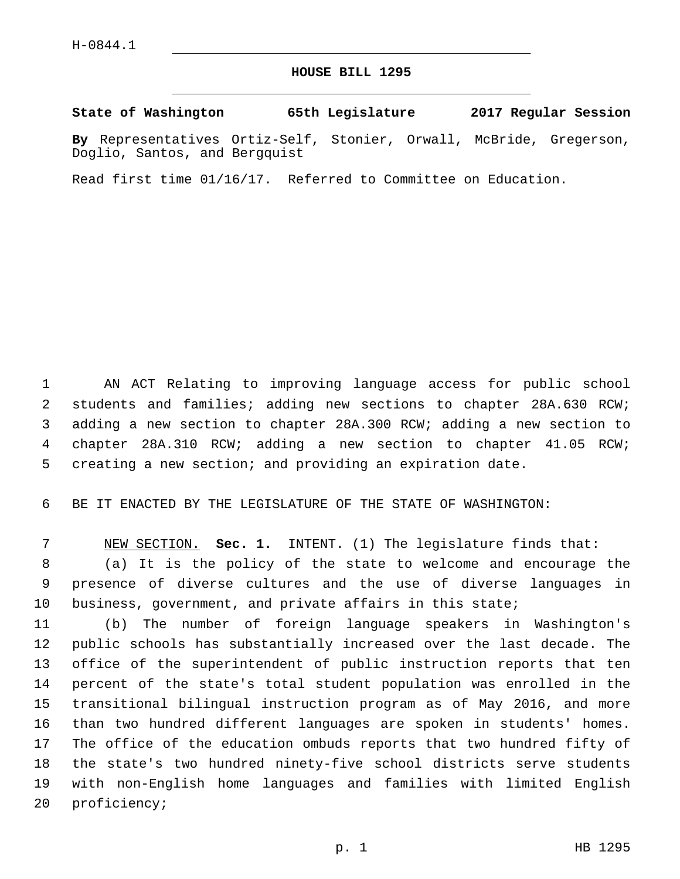## **HOUSE BILL 1295**

**State of Washington 65th Legislature 2017 Regular Session**

**By** Representatives Ortiz-Self, Stonier, Orwall, McBride, Gregerson, Doglio, Santos, and Bergquist

Read first time 01/16/17. Referred to Committee on Education.

 AN ACT Relating to improving language access for public school students and families; adding new sections to chapter 28A.630 RCW; adding a new section to chapter 28A.300 RCW; adding a new section to chapter 28A.310 RCW; adding a new section to chapter 41.05 RCW; creating a new section; and providing an expiration date.

BE IT ENACTED BY THE LEGISLATURE OF THE STATE OF WASHINGTON:

 NEW SECTION. **Sec. 1.** INTENT. (1) The legislature finds that: (a) It is the policy of the state to welcome and encourage the presence of diverse cultures and the use of diverse languages in business, government, and private affairs in this state;

 (b) The number of foreign language speakers in Washington's public schools has substantially increased over the last decade. The office of the superintendent of public instruction reports that ten percent of the state's total student population was enrolled in the transitional bilingual instruction program as of May 2016, and more than two hundred different languages are spoken in students' homes. The office of the education ombuds reports that two hundred fifty of the state's two hundred ninety-five school districts serve students with non-English home languages and families with limited English 20 proficiency;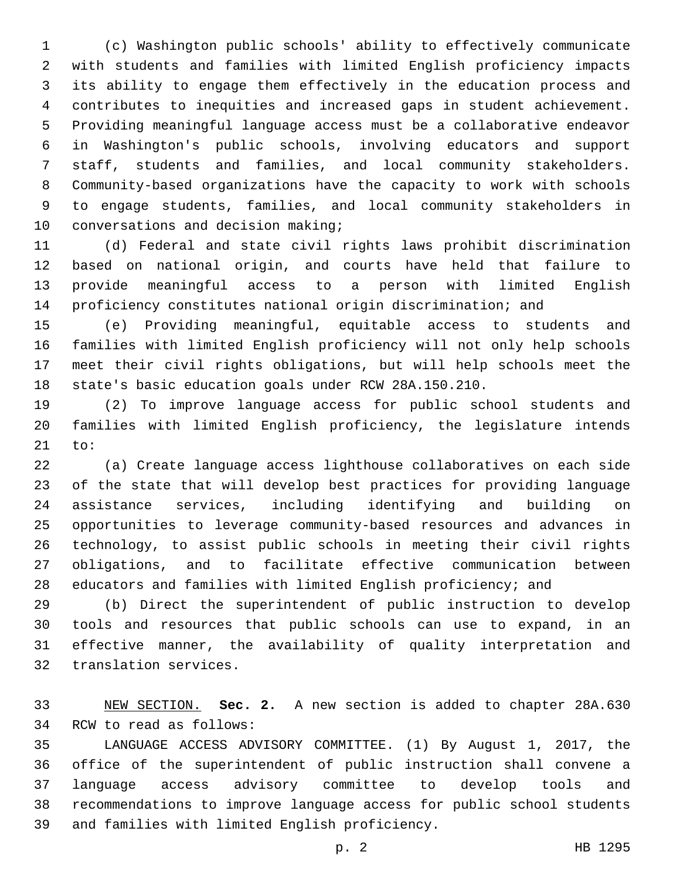(c) Washington public schools' ability to effectively communicate with students and families with limited English proficiency impacts its ability to engage them effectively in the education process and contributes to inequities and increased gaps in student achievement. Providing meaningful language access must be a collaborative endeavor in Washington's public schools, involving educators and support staff, students and families, and local community stakeholders. Community-based organizations have the capacity to work with schools to engage students, families, and local community stakeholders in 10 conversations and decision making;

 (d) Federal and state civil rights laws prohibit discrimination based on national origin, and courts have held that failure to provide meaningful access to a person with limited English proficiency constitutes national origin discrimination; and

 (e) Providing meaningful, equitable access to students and families with limited English proficiency will not only help schools meet their civil rights obligations, but will help schools meet the state's basic education goals under RCW 28A.150.210.

 (2) To improve language access for public school students and families with limited English proficiency, the legislature intends 21 to:

 (a) Create language access lighthouse collaboratives on each side of the state that will develop best practices for providing language assistance services, including identifying and building on opportunities to leverage community-based resources and advances in technology, to assist public schools in meeting their civil rights obligations, and to facilitate effective communication between educators and families with limited English proficiency; and

 (b) Direct the superintendent of public instruction to develop tools and resources that public schools can use to expand, in an effective manner, the availability of quality interpretation and 32 translation services.

 NEW SECTION. **Sec. 2.** A new section is added to chapter 28A.630 34 RCW to read as follows:

 LANGUAGE ACCESS ADVISORY COMMITTEE. (1) By August 1, 2017, the office of the superintendent of public instruction shall convene a language access advisory committee to develop tools and recommendations to improve language access for public school students 39 and families with limited English proficiency.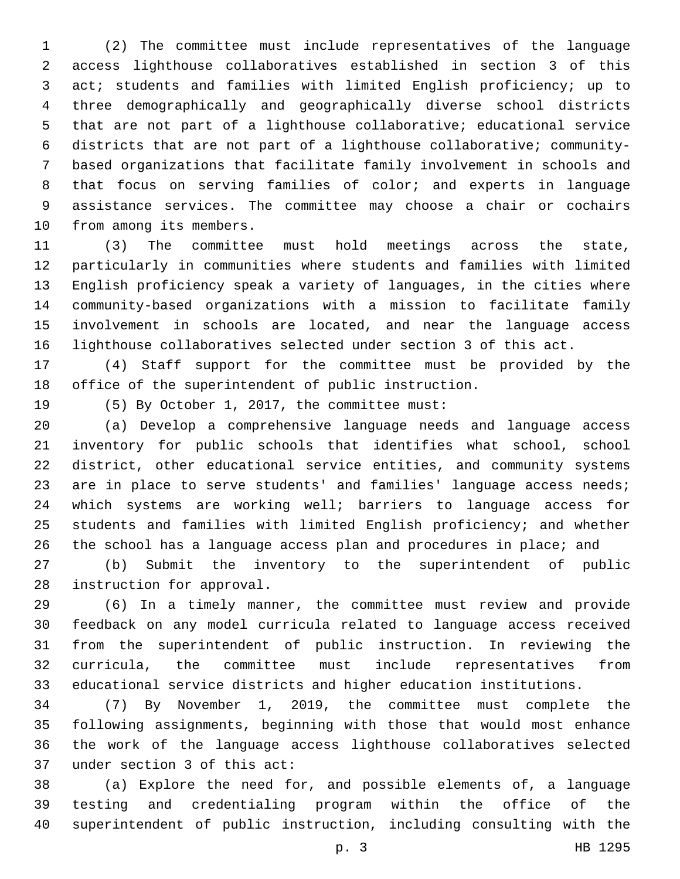(2) The committee must include representatives of the language access lighthouse collaboratives established in section 3 of this act; students and families with limited English proficiency; up to three demographically and geographically diverse school districts that are not part of a lighthouse collaborative; educational service districts that are not part of a lighthouse collaborative; community- based organizations that facilitate family involvement in schools and that focus on serving families of color; and experts in language assistance services. The committee may choose a chair or cochairs 10 from among its members.

 (3) The committee must hold meetings across the state, particularly in communities where students and families with limited English proficiency speak a variety of languages, in the cities where community-based organizations with a mission to facilitate family involvement in schools are located, and near the language access lighthouse collaboratives selected under section 3 of this act.

 (4) Staff support for the committee must be provided by the office of the superintendent of public instruction.

19 (5) By October 1, 2017, the committee must:

 (a) Develop a comprehensive language needs and language access inventory for public schools that identifies what school, school district, other educational service entities, and community systems 23 are in place to serve students' and families' language access needs; which systems are working well; barriers to language access for students and families with limited English proficiency; and whether 26 the school has a language access plan and procedures in place; and

 (b) Submit the inventory to the superintendent of public 28 instruction for approval.

 (6) In a timely manner, the committee must review and provide feedback on any model curricula related to language access received from the superintendent of public instruction. In reviewing the curricula, the committee must include representatives from educational service districts and higher education institutions.

 (7) By November 1, 2019, the committee must complete the following assignments, beginning with those that would most enhance the work of the language access lighthouse collaboratives selected 37 under section 3 of this act:

 (a) Explore the need for, and possible elements of, a language testing and credentialing program within the office of the superintendent of public instruction, including consulting with the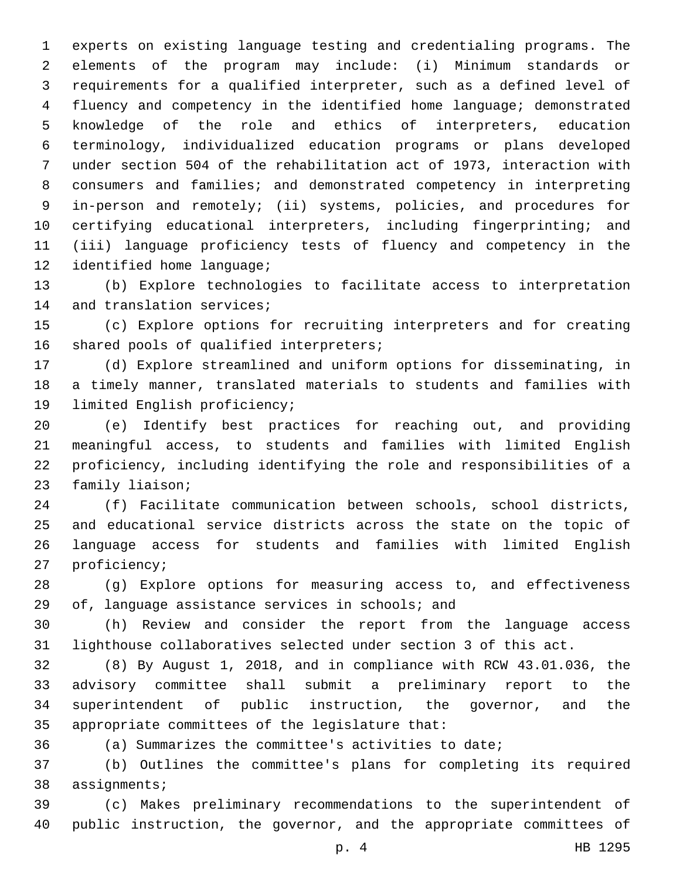experts on existing language testing and credentialing programs. The elements of the program may include: (i) Minimum standards or requirements for a qualified interpreter, such as a defined level of fluency and competency in the identified home language; demonstrated knowledge of the role and ethics of interpreters, education terminology, individualized education programs or plans developed under section 504 of the rehabilitation act of 1973, interaction with consumers and families; and demonstrated competency in interpreting in-person and remotely; (ii) systems, policies, and procedures for certifying educational interpreters, including fingerprinting; and (iii) language proficiency tests of fluency and competency in the 12 identified home language;

 (b) Explore technologies to facilitate access to interpretation 14 and translation services;

 (c) Explore options for recruiting interpreters and for creating 16 shared pools of qualified interpreters;

 (d) Explore streamlined and uniform options for disseminating, in a timely manner, translated materials to students and families with 19 limited English proficiency;

 (e) Identify best practices for reaching out, and providing meaningful access, to students and families with limited English proficiency, including identifying the role and responsibilities of a 23 family liaison;

 (f) Facilitate communication between schools, school districts, and educational service districts across the state on the topic of language access for students and families with limited English 27 proficiency;

 (g) Explore options for measuring access to, and effectiveness of, language assistance services in schools; and

 (h) Review and consider the report from the language access lighthouse collaboratives selected under section 3 of this act.

 (8) By August 1, 2018, and in compliance with RCW 43.01.036, the advisory committee shall submit a preliminary report to the superintendent of public instruction, the governor, and the 35 appropriate committees of the legislature that:

(a) Summarizes the committee's activities to date;

 (b) Outlines the committee's plans for completing its required 38 assignments;

 (c) Makes preliminary recommendations to the superintendent of public instruction, the governor, and the appropriate committees of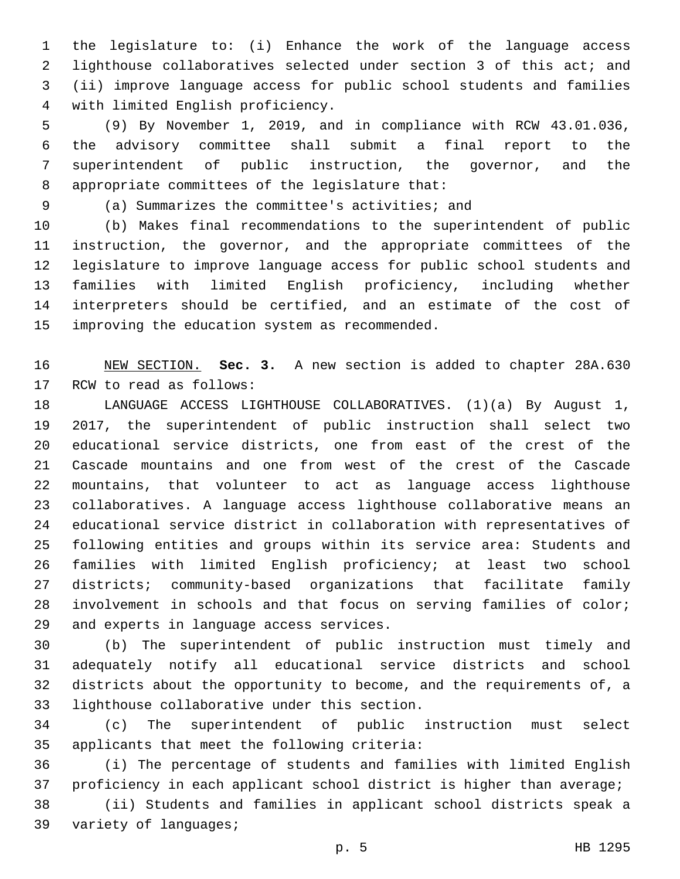the legislature to: (i) Enhance the work of the language access lighthouse collaboratives selected under section 3 of this act; and (ii) improve language access for public school students and families with limited English proficiency.4

 (9) By November 1, 2019, and in compliance with RCW 43.01.036, the advisory committee shall submit a final report to the superintendent of public instruction, the governor, and the 8 appropriate committees of the legislature that:

(a) Summarizes the committee's activities; and9

 (b) Makes final recommendations to the superintendent of public instruction, the governor, and the appropriate committees of the legislature to improve language access for public school students and families with limited English proficiency, including whether interpreters should be certified, and an estimate of the cost of 15 improving the education system as recommended.

 NEW SECTION. **Sec. 3.** A new section is added to chapter 28A.630 17 RCW to read as follows:

 LANGUAGE ACCESS LIGHTHOUSE COLLABORATIVES. (1)(a) By August 1, 2017, the superintendent of public instruction shall select two educational service districts, one from east of the crest of the Cascade mountains and one from west of the crest of the Cascade mountains, that volunteer to act as language access lighthouse collaboratives. A language access lighthouse collaborative means an educational service district in collaboration with representatives of following entities and groups within its service area: Students and families with limited English proficiency; at least two school districts; community-based organizations that facilitate family involvement in schools and that focus on serving families of color; 29 and experts in language access services.

 (b) The superintendent of public instruction must timely and adequately notify all educational service districts and school districts about the opportunity to become, and the requirements of, a 33 lighthouse collaborative under this section.

 (c) The superintendent of public instruction must select 35 applicants that meet the following criteria:

 (i) The percentage of students and families with limited English proficiency in each applicant school district is higher than average;

 (ii) Students and families in applicant school districts speak a 39 variety of languages;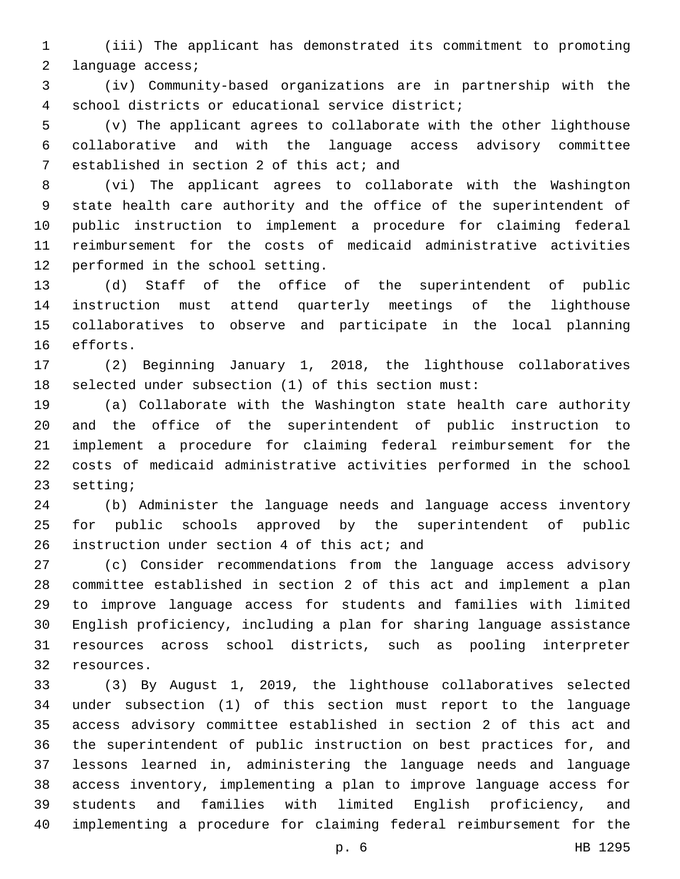(iii) The applicant has demonstrated its commitment to promoting 2 language access;

 (iv) Community-based organizations are in partnership with the school districts or educational service district;4

 (v) The applicant agrees to collaborate with the other lighthouse collaborative and with the language access advisory committee 7 established in section 2 of this act; and

 (vi) The applicant agrees to collaborate with the Washington state health care authority and the office of the superintendent of public instruction to implement a procedure for claiming federal reimbursement for the costs of medicaid administrative activities 12 performed in the school setting.

 (d) Staff of the office of the superintendent of public instruction must attend quarterly meetings of the lighthouse collaboratives to observe and participate in the local planning 16 efforts.

 (2) Beginning January 1, 2018, the lighthouse collaboratives selected under subsection (1) of this section must:

 (a) Collaborate with the Washington state health care authority and the office of the superintendent of public instruction to implement a procedure for claiming federal reimbursement for the costs of medicaid administrative activities performed in the school 23 setting;

 (b) Administer the language needs and language access inventory for public schools approved by the superintendent of public 26 instruction under section 4 of this act; and

 (c) Consider recommendations from the language access advisory committee established in section 2 of this act and implement a plan to improve language access for students and families with limited English proficiency, including a plan for sharing language assistance resources across school districts, such as pooling interpreter 32 resources.

 (3) By August 1, 2019, the lighthouse collaboratives selected under subsection (1) of this section must report to the language access advisory committee established in section 2 of this act and the superintendent of public instruction on best practices for, and lessons learned in, administering the language needs and language access inventory, implementing a plan to improve language access for students and families with limited English proficiency, and implementing a procedure for claiming federal reimbursement for the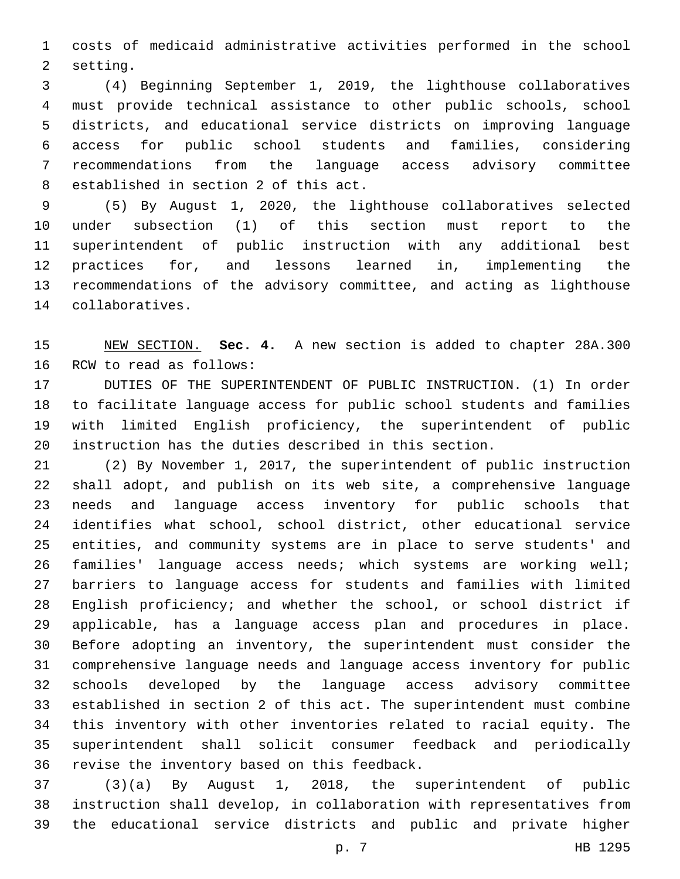costs of medicaid administrative activities performed in the school 2 setting.

 (4) Beginning September 1, 2019, the lighthouse collaboratives must provide technical assistance to other public schools, school districts, and educational service districts on improving language access for public school students and families, considering recommendations from the language access advisory committee 8 established in section 2 of this act.

 (5) By August 1, 2020, the lighthouse collaboratives selected under subsection (1) of this section must report to the superintendent of public instruction with any additional best practices for, and lessons learned in, implementing the recommendations of the advisory committee, and acting as lighthouse 14 collaboratives.

 NEW SECTION. **Sec. 4.** A new section is added to chapter 28A.300 16 RCW to read as follows:

 DUTIES OF THE SUPERINTENDENT OF PUBLIC INSTRUCTION. (1) In order to facilitate language access for public school students and families with limited English proficiency, the superintendent of public instruction has the duties described in this section.

 (2) By November 1, 2017, the superintendent of public instruction shall adopt, and publish on its web site, a comprehensive language needs and language access inventory for public schools that identifies what school, school district, other educational service entities, and community systems are in place to serve students' and families' language access needs; which systems are working well; barriers to language access for students and families with limited English proficiency; and whether the school, or school district if applicable, has a language access plan and procedures in place. Before adopting an inventory, the superintendent must consider the comprehensive language needs and language access inventory for public schools developed by the language access advisory committee established in section 2 of this act. The superintendent must combine this inventory with other inventories related to racial equity. The superintendent shall solicit consumer feedback and periodically 36 revise the inventory based on this feedback.

 (3)(a) By August 1, 2018, the superintendent of public instruction shall develop, in collaboration with representatives from the educational service districts and public and private higher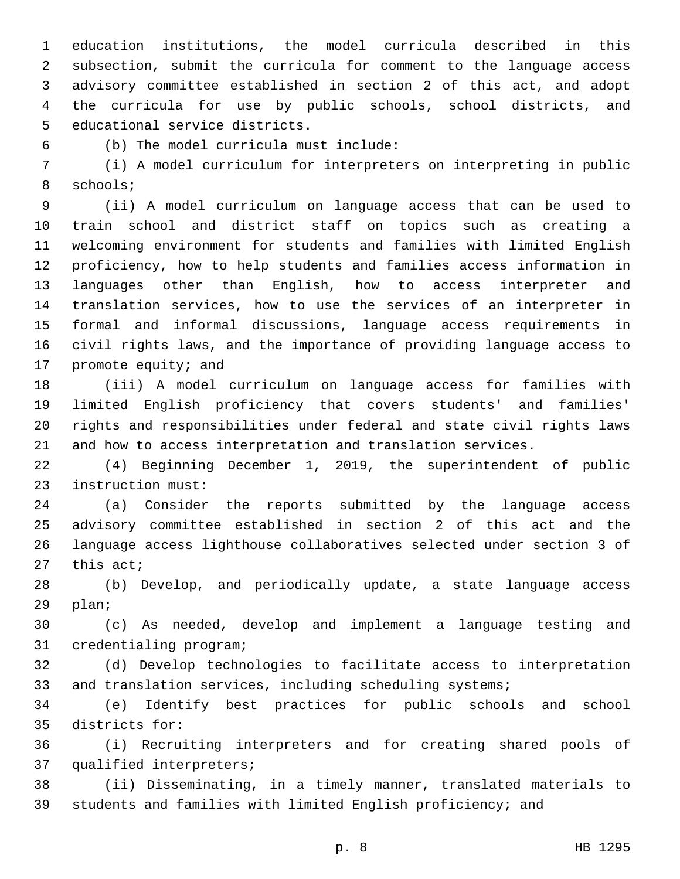education institutions, the model curricula described in this subsection, submit the curricula for comment to the language access advisory committee established in section 2 of this act, and adopt the curricula for use by public schools, school districts, and 5 educational service districts.

(b) The model curricula must include:6

 (i) A model curriculum for interpreters on interpreting in public 8 schools;

 (ii) A model curriculum on language access that can be used to train school and district staff on topics such as creating a welcoming environment for students and families with limited English proficiency, how to help students and families access information in languages other than English, how to access interpreter and translation services, how to use the services of an interpreter in formal and informal discussions, language access requirements in civil rights laws, and the importance of providing language access to 17 promote equity; and

 (iii) A model curriculum on language access for families with limited English proficiency that covers students' and families' rights and responsibilities under federal and state civil rights laws and how to access interpretation and translation services.

 (4) Beginning December 1, 2019, the superintendent of public 23 instruction must:

 (a) Consider the reports submitted by the language access advisory committee established in section 2 of this act and the language access lighthouse collaboratives selected under section 3 of this act;

 (b) Develop, and periodically update, a state language access 29 plan;

 (c) As needed, develop and implement a language testing and 31 credentialing program;

 (d) Develop technologies to facilitate access to interpretation 33 and translation services, including scheduling systems;

 (e) Identify best practices for public schools and school 35 districts for:

 (i) Recruiting interpreters and for creating shared pools of 37 qualified interpreters;

 (ii) Disseminating, in a timely manner, translated materials to students and families with limited English proficiency; and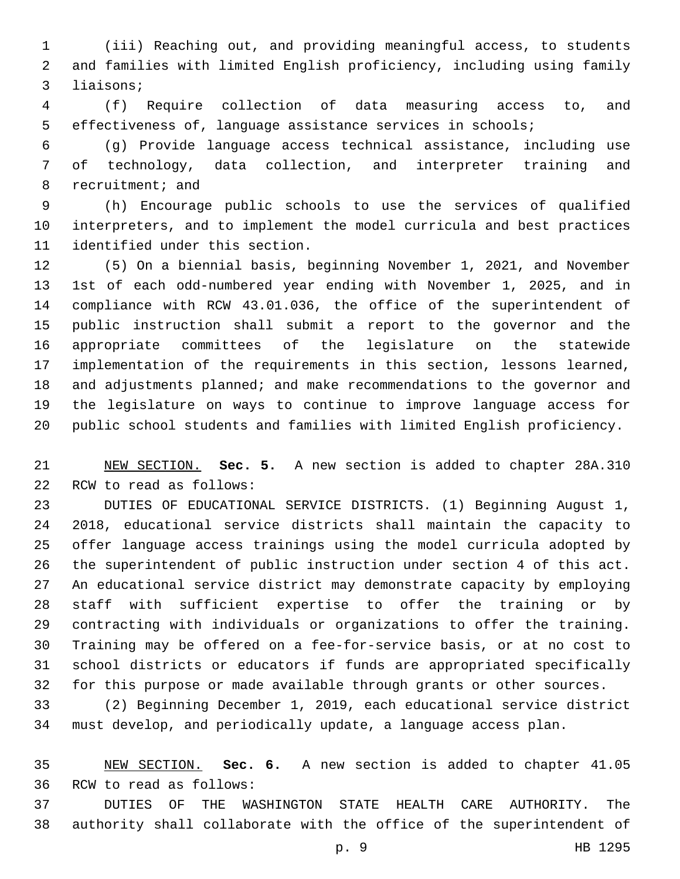(iii) Reaching out, and providing meaningful access, to students and families with limited English proficiency, including using family 3 liaisons;

 (f) Require collection of data measuring access to, and effectiveness of, language assistance services in schools;

 (g) Provide language access technical assistance, including use of technology, data collection, and interpreter training and 8 recruitment; and

 (h) Encourage public schools to use the services of qualified interpreters, and to implement the model curricula and best practices 11 identified under this section.

 (5) On a biennial basis, beginning November 1, 2021, and November 1st of each odd-numbered year ending with November 1, 2025, and in compliance with RCW 43.01.036, the office of the superintendent of public instruction shall submit a report to the governor and the appropriate committees of the legislature on the statewide implementation of the requirements in this section, lessons learned, and adjustments planned; and make recommendations to the governor and the legislature on ways to continue to improve language access for public school students and families with limited English proficiency.

 NEW SECTION. **Sec. 5.** A new section is added to chapter 28A.310 22 RCW to read as follows:

 DUTIES OF EDUCATIONAL SERVICE DISTRICTS. (1) Beginning August 1, 2018, educational service districts shall maintain the capacity to offer language access trainings using the model curricula adopted by the superintendent of public instruction under section 4 of this act. An educational service district may demonstrate capacity by employing staff with sufficient expertise to offer the training or by contracting with individuals or organizations to offer the training. Training may be offered on a fee-for-service basis, or at no cost to school districts or educators if funds are appropriated specifically for this purpose or made available through grants or other sources.

 (2) Beginning December 1, 2019, each educational service district must develop, and periodically update, a language access plan.

 NEW SECTION. **Sec. 6.** A new section is added to chapter 41.05 36 RCW to read as follows:

 DUTIES OF THE WASHINGTON STATE HEALTH CARE AUTHORITY. The authority shall collaborate with the office of the superintendent of